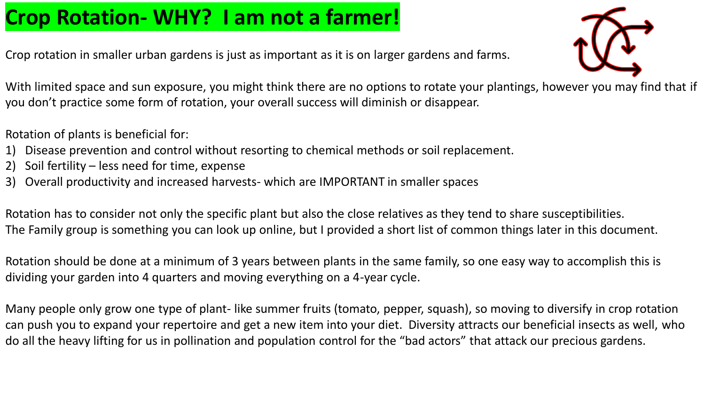# **Crop Rotation- WHY? I am not a farmer!**

Crop rotation in smaller urban gardens is just as important as it is on larger gardens and farms.



With limited space and sun exposure, you might think there are no options to rotate your plantings, however you may find that if you don't practice some form of rotation, your overall success will diminish or disappear.

Rotation of plants is beneficial for:

- 1) Disease prevention and control without resorting to chemical methods or soil replacement.
- 2) Soil fertility less need for time, expense
- 3) Overall productivity and increased harvests- which are IMPORTANT in smaller spaces

Rotation has to consider not only the specific plant but also the close relatives as they tend to share susceptibilities. The Family group is something you can look up online, but I provided a short list of common things later in this document.

Rotation should be done at a minimum of 3 years between plants in the same family, so one easy way to accomplish this is dividing your garden into 4 quarters and moving everything on a 4-year cycle.

Many people only grow one type of plant- like summer fruits (tomato, pepper, squash), so moving to diversify in crop rotation can push you to expand your repertoire and get a new item into your diet. Diversity attracts our beneficial insects as well, who do all the heavy lifting for us in pollination and population control for the "bad actors" that attack our precious gardens.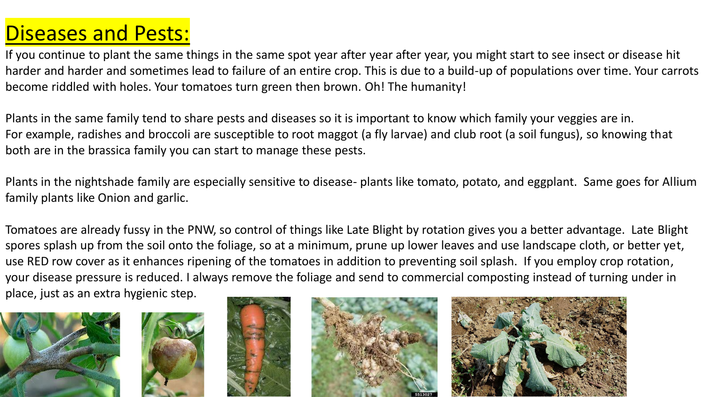# Diseases and Pests:

If you continue to plant the same things in the same spot year after year after year, you might start to see insect or disease hit harder and harder and sometimes lead to failure of an entire crop. This is due to a build-up of populations over time. Your carrots become riddled with holes. Your tomatoes turn green then brown. Oh! The humanity!

Plants in the same family tend to share pests and diseases so it is important to know which family your veggies are in. For example, radishes and broccoli are susceptible to root maggot (a fly larvae) and club root (a soil fungus), so knowing that both are in the brassica family you can start to manage these pests.

Plants in the nightshade family are especially sensitive to disease- plants like tomato, potato, and eggplant. Same goes for Allium family plants like Onion and garlic.

Tomatoes are already fussy in the PNW, so control of things like Late Blight by rotation gives you a better advantage. Late Blight spores splash up from the soil onto the foliage, so at a minimum, prune up lower leaves and use landscape cloth, or better yet, use RED row cover as it enhances ripening of the tomatoes in addition to preventing soil splash. If you employ crop rotation, your disease pressure is reduced. I always remove the foliage and send to commercial composting instead of turning under in place, just as an extra hygienic step.









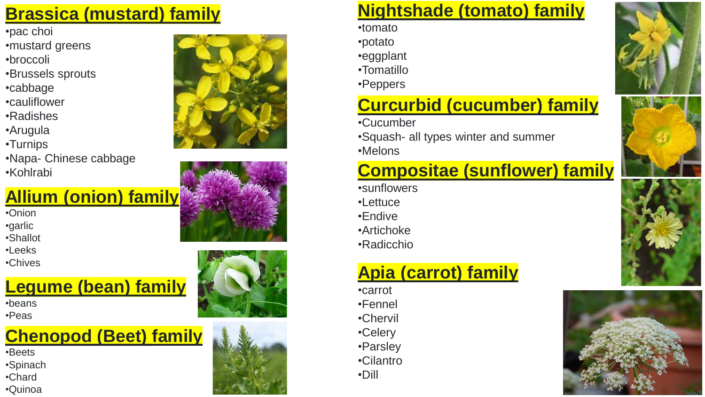#### **Brassica (mustard) family**

- 
- •pac choi •mustard greens
- •broccoli
- •Brussels sprouts •cabbage •cauliflower
- 
- 
- •Radishes
- •Arugula
- •Turnips
- •Napa- Chinese cabbage •Kohlrabi

#### **Allium (onion) family**

•Onion •garlic

- •Shallot
- •Leeks
- •Chives

### **Legume (bean) family**

•beans •Peas

# **Chenopod (Beet) family**

- •Beets
- •Spinach
- •Chard •Quinoa









#### **Nightshade (tomato) family**

•tomato

- •potato
- •eggplant
- •Tomatillo
- •Peppers

#### **Curcurbid (cucumber) family**

•Cucumber

•Squash- all types winter and summer •Melons

#### **Compositae (sunflower) family**

•sunflowers •Lettuce •Endive •Artichoke •Radicchio

#### **Apia (carrot) family**

•carrot •Fennel •Chervil •Celery •Parsley •Cilantro •Dill







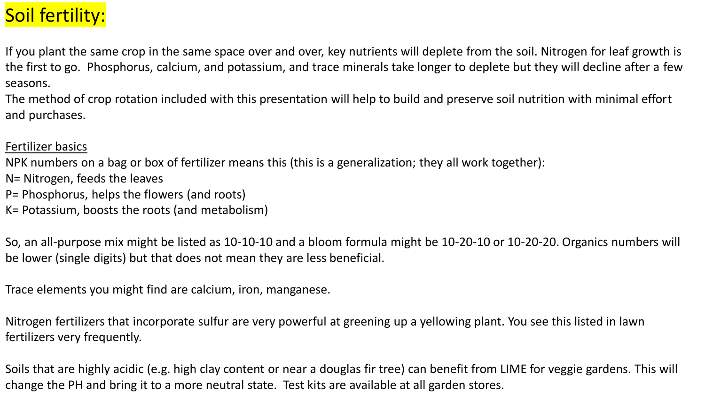# Soil fertility:

If you plant the same crop in the same space over and over, key nutrients will deplete from the soil. Nitrogen for leaf growth is the first to go. Phosphorus, calcium, and potassium, and trace minerals take longer to deplete but they will decline after a few seasons.

The method of crop rotation included with this presentation will help to build and preserve soil nutrition with minimal effort and purchases.

#### Fertilizer basics

NPK numbers on a bag or box of fertilizer means this (this is a generalization; they all work together):

- N= Nitrogen, feeds the leaves
- P= Phosphorus, helps the flowers (and roots)
- K= Potassium, boosts the roots (and metabolism)

So, an all-purpose mix might be listed as 10-10-10 and a bloom formula might be 10-20-10 or 10-20-20. Organics numbers will be lower (single digits) but that does not mean they are less beneficial.

Trace elements you might find are calcium, iron, manganese.

Nitrogen fertilizers that incorporate sulfur are very powerful at greening up a yellowing plant. You see this listed in lawn fertilizers very frequently.

Soils that are highly acidic (e.g. high clay content or near a douglas fir tree) can benefit from LIME for veggie gardens. This will change the PH and bring it to a more neutral state. Test kits are available at all garden stores.